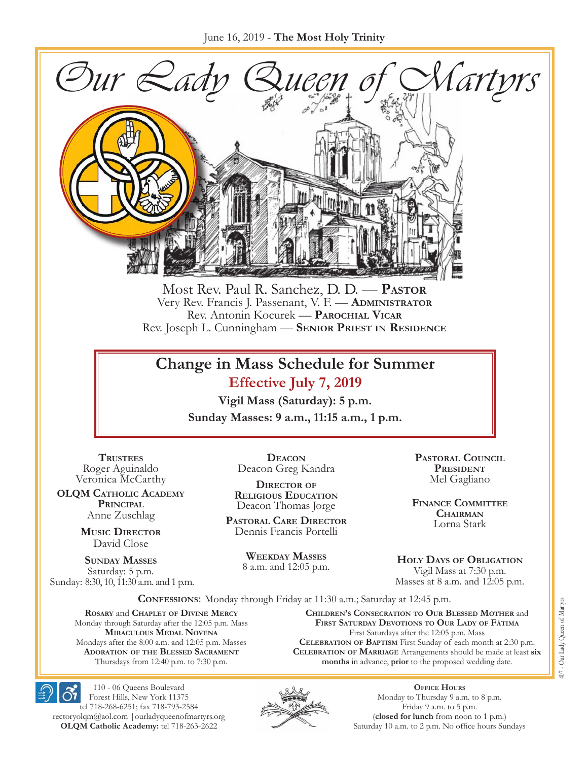

Most Rev. Paul R. Sanchez, D. D. — **Pastor** Very Rev. Francis J. Passenant, V. F. — **Administrator** Rev. Antonin Kocurek — **Parochial Vicar** Rev. Joseph L. Cunningham — **Senior Priest in Residence**

## **Change in Mass Schedule for Summer Effective July 7, 2019**

**Vigil Mass (Saturday): 5 p.m. Sunday Masses: 9 a.m., 11:15 a.m., 1 p.m.**

**Trustees** Roger Aguinaldo Veronica McCarthy

**OLQM Catholic Academy Principal** Anne Zuschlag

> **Music Director** David Close

**Sunday Masses** Saturday: 5 p.m. Sunday: 8:30, 10, 11:30 a.m. and 1 p.m.

**Deacon** Deacon Greg Kandra

**Director of Religious Education** Deacon Thomas Jorge

**Pastoral Care Director** Dennis Francis Portelli

**WEEKDAY MASSES** 8 a.m. and 12:05 p.m.

**Pastoral Council** PRESIDENT Mel Gagliano

**Finance Committee Chairman** Lorna Stark

**HOLY DAYS OF OBLIGATION** Vigil Mass at 7:30 p.m. Masses at 8 a.m. and 12:05 p.m.

**Confessions:** Monday through Friday at 11:30 a.m.; Saturday at 12:45 p.m.

**Rosary** and **Chaplet of Divine Mercy** Monday through Saturday after the 12:05 p.m. Mass **Miraculous Medal Novena** Mondays after the 8:00 a.m. and 12:05 p.m. Masses **Adoration of the Blessed Sacrament** Thursdays from 12:40 p.m. to 7:30 p.m.

**Children's Consecration to Our Blessed Mother** and **First Saturday Devotions to Our Lady of Fátima** First Saturdays after the 12:05 p.m. Mass **Celebration of Baptism** First Sunday of each month at 2:30 p.m. **Celebration of Marriage** Arrangements should be made at least **six months** in advance, **prior** to the proposed wedding date.



110 - 06 Queens Boulevard Forest Hills, New York 11375 tel 718-268-6251; fax 718-793-2584 [rectoryolqm@aol.com](mailto:rectoryolqm@aol.com) **|**[ourladyqueenofmartyrs.org](www.ourladyqueenofmartyrs.org) **OLQM Catholic Academy:** tel 718-263-2622



**Office Hours** Monday to Thursday 9 a.m. to 8 p.m. Friday 9 a.m. to 5 p.m. (**closed for lunch** from noon to 1 p.m.) Saturday 10 a.m. to 2 p.m. No office hours Sundays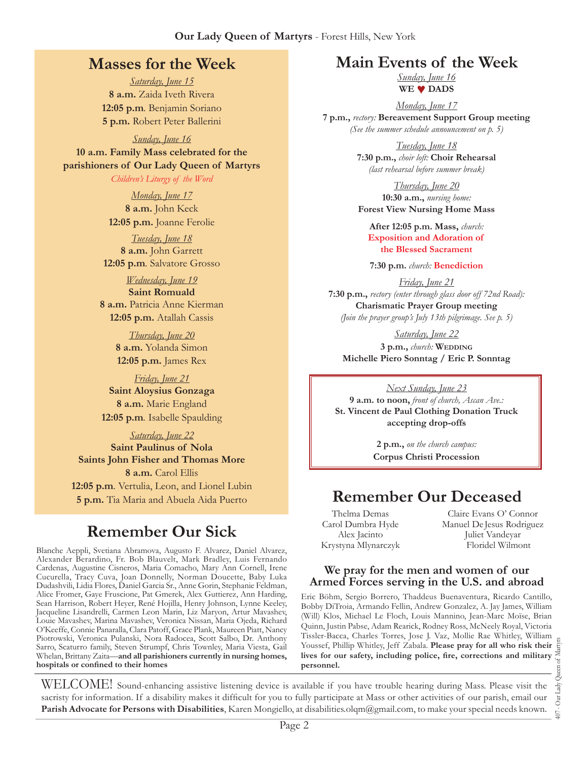#### **Our Lady Queen of Martyrs** - Forest Hills, New York

## **Masses for the Week**

*Saturday, June 15* **8 a.m.** Zaida Iveth Rivera **12:05 p.m***.* Benjamin Soriano **5 p.m.** Robert Peter Ballerini

*Sunday, June 16* **10 a.m. Family Mass celebrated for the parishioners of Our Lady Queen of Martyrs**

*Children's Liturgy of the Word* 

*Monday, June 17* **8 a.m.** John Keck **12:05 p.m.** Joanne Ferolie

*Tuesday, June 18* **8 a.m.** John Garrett **12:05 p.m***.* Salvatore Grosso

*Wednesday, June 19* **Saint Romuald 8 a.m.** Patricia Anne Kierman **12:05 p.m.** Atallah Cassis

> *Thursday, June 20* **8 a.m.** Yolanda Simon **12:05 p.m.** James Rex

*Friday, June 21* **Saint Aloysius Gonzaga 8 a.m.** Marie England **12:05 p.m***.* Isabelle Spaulding

*Saturday, June 22* **Saint Paulinus of Nola Saints John Fisher and Thomas More 8 a.m.** Carol Ellis **12:05 p.m***.* Vertulia, Leon, and Lionel Lubin **5 p.m.** Tia Maria and Abuela Aida Puerto

# **Remember Our Sick**

Blanche Aeppli, Svetiana Abramova, Augusto F. Alvarez, Daniel Alvarez, Alexander Berardino, Fr. Bob Blauvelt, Mark Bradley, Luis Fernando Cardenas, Augustine Cisneros, Maria Comacho, Mary Ann Cornell, Irene Cucurella, Tracy Cuva, Joan Donnelly, Norman Doucette, Baby Luka Dudashvili, Lidia Flores, Daniel Garcia Sr., Anne Gorin, Stephanie Feldman, Alice Fromer, Gaye Fruscione, Pat Gmerek, Alex Guttierez, Ann Harding, Sean Harrison, Robert Heyer, René Hojilla, Henry Johnson, Lynne Keeley, Jacqueline Lisandrelli, Carmen Leon Marin, Liz Maryon, Artur Mavashev, Louie Mavashev, Marina Mavashev, Veronica Nissan, Maria Ojeda, Richard O'Keeffe, Connie Panaralla, Clara Patoff, Grace Plank, Maureen Piatt, Nancy Piotrowski, Veronica Pulanski, Nora Radocea, Scott Salbo, Dr. Anthony Sarro, Scaturro family, Steven Strumpf, Chris Townley, Maria Viesta, Gail Whelan, Brittany Zaita—**and all parishioners currently in nursing homes, hospitals or confined to their homes**

## **Main Events of the Week**

*Sunday, June 16* **We ♥ Dads**

*Monday, June 17* **7 p.m.,** *rectory:* **Bereavement Support Group meeting** *(See the summer schedule announcement on p. 5)*

> *Tuesday, June 18* **7:30 p.m.,** *choir loft:* **Choir Rehearsal** *(last rehearsal before summer break)*

> *Thursday, June 20* **10:30 a.m.,** *nursing home:*  **Forest View Nursing Home Mass**

**After 12:05 p.m. Mass,** *church:*  **Exposition and Adoration of the Blessed Sacrament**

**7:30 p.m.** *church:* **Benediction**

*Friday, June 21* **7:30 p.m.,** *rectory (enter through glass door off 72nd Road):* **Charismatic Prayer Group meeting** *(Join the prayer group's July 13th pilgrimage. See p. 5)*

*Saturday, June 22* **3 p.m.,** *church:* **Wedding Michelle Piero Sonntag / Eric P. Sonntag**

*Next Sunday, June 23*

**9 a.m. to noon,** *front of church, Ascan Ave.:* **St. Vincent de Paul Clothing Donation Truck accepting drop-offs**

> **2 p.m.,** *on the church campus:* **Corpus Christi Procession**

# **Remember Our Deceased**

Thelma Demas Carol Dumbra Hyde Alex Jacinto Krystyna Mlynarczyk

Claire Evans O' Connor Manuel De Jesus Rodriguez Juliet Vandeyar Floridel Wilmont

#### **We pray for the men and women of our Armed Forces serving in the U.S. and abroad**

Eric Böhm, Sergio Borrero, Thaddeus Buenaventura, Ricardo Cantillo, Bobby DiTroia, Armando Fellin, Andrew Gonzalez, A. Jay James, William (Will) Klos, Michael Le Floch, Louis Mannino, Jean-Marc Moïse, Brian Quinn, Justin Pabse, Adam Rearick, Rodney Ross, McNeely Royal, Victoria Tissler-Bacca, Charles Torres, Jose J. Vaz, Mollie Rae Whitley, William Youssef, Phillip Whitley, Jeff Zabala. **Please pray for all who risk their lives for our safety, including police, fire, corrections and military personnel.**

407 - Our Lady Queen of Martyrs Our Lady  $+00$ 

WELCOME! Sound-enhancing assistive listening device is available if you have trouble hearing during Mass. Please visit the sacristy for information. If a disability makes it difficult for you to fully participate at Mass or other activities of our parish, email our **Parish Advocate for Persons with Disabilities**, Karen Mongiello, at [disabilities.olqm@gmail.com,](mailto:disabilities.olqm@gmail.com) to make your special needs known.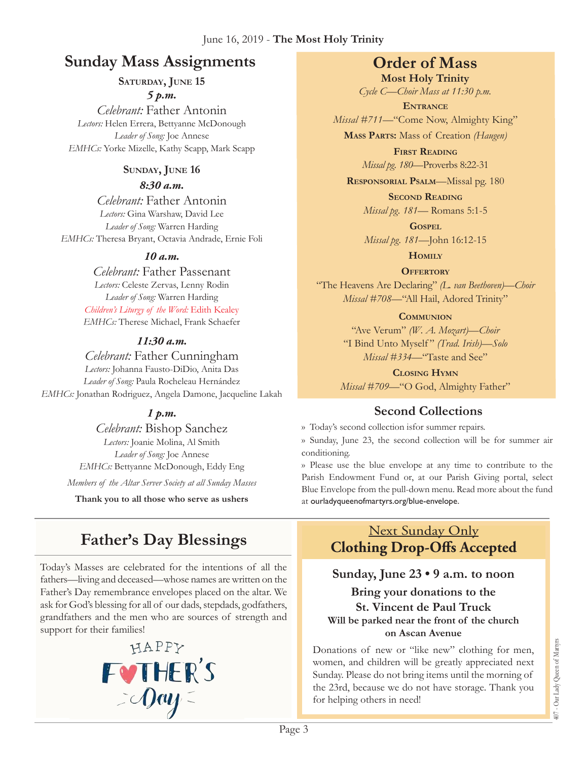#### June 16, 2019 - **The Most Holy Trinity**

# **Sunday Mass Assignments Order of Mass**

SATURDAY, JUNE 15

*5 p.m. Celebrant:* Father Antonin

*Lectors:* Helen Errera, Bettyanne McDonough *Leader of Song:* Joe Annese *EMHCs:* Yorke Mizelle, Kathy Scapp, Mark Scapp

#### **Sunday, June 16**

#### *8:30 a.m.*

*Celebrant:* Father Antonin *Lectors:* Gina Warshaw, David Lee *Leader of Song:* Warren Harding *EMHCs:* Theresa Bryant, Octavia Andrade, Ernie Foli

## *10 a.m.*

*Celebrant:* Father Passenant *Lectors:* Celeste Zervas, Lenny Rodin *Leader of Song:* Warren Harding *Children's Liturgy of the Word:* Edith Kealey *EMHCs:* Therese Michael, Frank Schaefer

## *11:30 a.m.*

*Celebrant:* Father Cunningham

*Lectors:* Johanna Fausto-DiDio, Anita Das *Leader of Song:* Paula Rocheleau Hernández *EMHCs:* Jonathan Rodriguez, Angela Damone, Jacqueline Lakah

## *1 p.m.*

*Celebrant:* Bishop Sanchez *Lectors:* Joanie Molina, Al Smith *Leader of Song:* Joe Annese *EMHCs:* Bettyanne McDonough, Eddy Eng *Members of the Altar Server Society at all Sunday Masses*

**Thank you to all those who serve as ushers**

# **Father's Day Blessings**

Today's Masses are celebrated for the intentions of all the fathers—living and deceased—whose names are written on the Father's Day remembrance envelopes placed on the altar. We ask for God's blessing for all of our dads, stepdads, godfathers, grandfathers and the men who are sources of strength and support for their families!



**Most Holy Trinity** *Cycle C—Choir Mass at 11:30 p.m.* 

**Entrance** *Missal #711—*"Come Now, Almighty King"

**Mass Parts:** Mass of Creation *(Haugen)*

**First Reading** *Missal pg. 180—*Proverbs 8:22-31

**Responsorial Psalm**—Missal pg. 180

**Second Reading** *Missal pg. 181—* Romans 5:1-5

**Gospel** *Missal pg. 181—*John 16:12-15

**Homily**

**OFFERTORY** "The Heavens Are Declaring" *(L. van Beethoven)—Choir Missal #708—*"All Hail, Adored Trinity"

#### **Communion**

"Ave Verum" *(W. A. Mozart)—Choir* "I Bind Unto Myself " *(Trad. Irish)—Solo Missal #334—*"Taste and See"

**Closing Hymn** *Missal* #709-"O God, Almighty Father"

## **Second Collections**

›› Today's second collection isfor summer repairs.

›› Sunday, June 23, the second collection will be for summer air conditioning.

›› Please use the blue envelope at any time to contribute to the Parish Endowment Fund or, at our Parish Giving portal, select Blue Envelope from the pull-down menu. Read more about the fund at ourladyqueenofmartyrs.org/blue-envelope.

## Next Sunday Only **Clothing Drop-Offs Accepted**

## **Sunday, June 23 • 9 a.m. to noon**

**Bring your donations to the St. Vincent de Paul Truck Will be parked near the front of the church on Ascan Avenue**

Donations of new or "like new" clothing for men, women, and children will be greatly appreciated next Sunday. Please do not bring items until the morning of the 23rd, because we do not have storage. Thank you for helping others in need!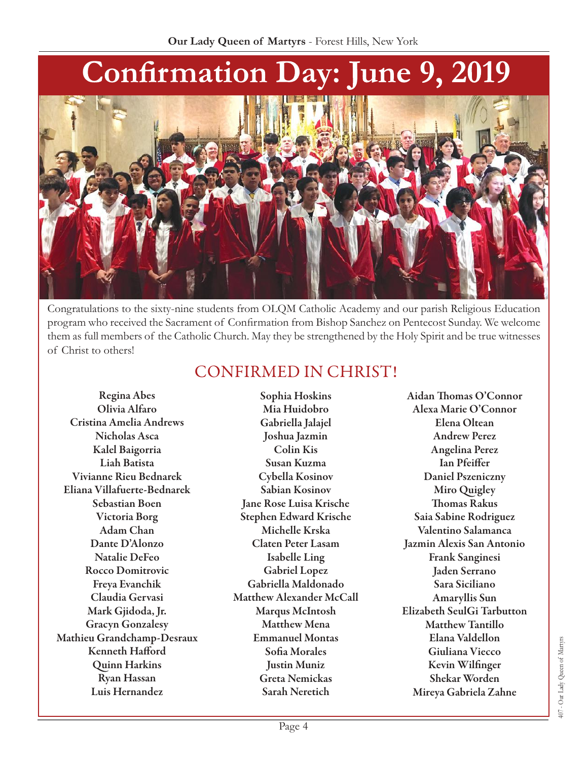

Congratulations to the sixty-nine students from OLQM Catholic Academy and our parish Religious Education program who received the Sacrament of Confirmation from Bishop Sanchez on Pentecost Sunday. We welcome them as full members of the Catholic Church. May they be strengthened by the Holy Spirit and be true witnesses of Christ to others!

# CONFIRMED IN CHRIST!

Regina Abes Olivia Alfaro Cristina Amelia Andrews Nicholas Asca Kalel Baigorria Liah Batista Vivianne Rieu Bednarek Eliana Villafuerte-Bednarek Sebastian Boen Victoria Borg Adam Chan Dante D'Alonzo Natalie DeFeo Rocco Domitrovic Freya Evanchik Claudia Gervasi Mark Gjidoda, Jr. Gracyn Gonzalesy Mathieu Grandchamp-Desraux Kenneth Hafford Quinn Harkins Ryan Hassan Luis Hernandez

Sophia Hoskins Mia Huidobro Gabriella Jalajel Joshua Jazmin Colin Kis Susan Kuzma Cybella Kosinov Sabian Kosinov Jane Rose Luisa Krische Stephen Edward Krische Michelle Krska Claten Peter Lasam Isabelle Ling Gabriel Lopez Gabriella Maldonado Matthew Alexander McCall Marqus McIntosh Matthew Mena Emmanuel Montas Sofia Morales Justin Muniz Greta Nemickas Sarah Neretich

Aidan Thomas O'Connor Alexa Marie O'Connor Elena Oltean Andrew Perez Angelina Perez Ian Pfeiffer Daniel Pszeniczny Miro Quigley Thomas Rakus Saia Sabine Rodriguez Valentino Salamanca Jazmin Alexis San Antonio Frank Sanginesi Jaden Serrano Sara Siciliano Amaryllis Sun Elizabeth SeulGi Tarbutton Matthew Tantillo Elana Valdellon Giuliana Viecco Kevin Wilfinger Shekar Worden Mireya Gabriela Zahne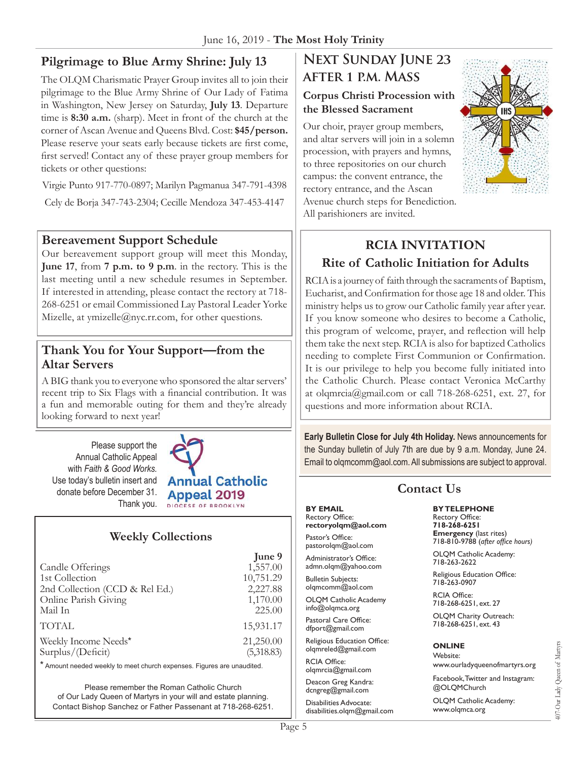## **Pilgrimage to Blue Army Shrine: July 13**

The OLQM Charismatic Prayer Group invites all to join their pilgrimage to the Blue Army Shrine of Our Lady of Fatima in Washington, New Jersey on Saturday, **July 13**. Departure time is **8:30 a.m.** (sharp). Meet in front of the church at the corner of Ascan Avenue and Queens Blvd. Cost: **\$45/person.** Please reserve your seats early because tickets are first come, first served! Contact any of these prayer group members for tickets or other questions:

Virgie Punto 917-770-0897; Marilyn Pagmanua 347-791-4398 Cely de Borja 347-743-2304; Cecille Mendoza 347-453-4147

#### **Bereavement Support Schedule**

Our bereavement support group will meet this Monday, **June 17**, from **7 p.m. to 9 p.m**. in the rectory. This is the last meeting until a new schedule resumes in September. If interested in attending, please contact the rectory at 718- 268-6251 or email Commissioned Lay Pastoral Leader Yorke Mizelle, at [ymizelle@nyc.rr.com,](mailto:ymizelle@nyc.rr.com) for other questions.

#### **Thank You for Your Support—from the Altar Servers**

A BIG thank you to everyone who sponsored the altar servers' recent trip to Six Flags with a financial contribution. It was a fun and memorable outing for them and they're already looking forward to next year!

Please support the Annual Catholic Appeal with *Faith & Good Works.*  Use today's bulletin insert and donate before December 31. Thank you.



## **Weekly Collections**

|                                | June 9     |
|--------------------------------|------------|
| Candle Offerings               | 1,557.00   |
| 1st Collection                 | 10,751.29  |
| 2nd Collection (CCD & Rel Ed.) | 2,227.88   |
| Online Parish Giving           | 1,170.00   |
| Mail In                        | 225.00     |
| <b>TOTAL</b>                   | 15,931.17  |
| Weekly Income Needs*           | 21,250.00  |
| Surplus/(Deficit)              | (5,318.83) |

\* Amount needed weekly to meet church expenses. Figures are unaudited.

Please remember the Roman Catholic Church of Our Lady Queen of Martyrs in your will and estate planning. Contact Bishop Sanchez or Father Passenant at 718-268-6251.

# **Next Sunday June 23 after 1 p.m. Mass**

#### **Corpus Christi Procession with the Blessed Sacrament**

Our choir, prayer group members, and altar servers will join in a solemn procession, with prayers and hymns, to three repositories on our church campus: the convent entrance, the rectory entrance, and the Ascan Avenue church steps for Benediction. All parishioners are invited.



# **RCIA Invitation Rite of Catholic Initiation for Adults**

RCIA is a journey of faith through the sacraments of Baptism, Eucharist, and Confirmation for those age 18 and older. This ministry helps us to grow our Catholic family year after year. If you know someone who desires to become a Catholic, this program of welcome, prayer, and reflection will help them take the next step. RCIA is also for baptized Catholics needing to complete First Communion or Confirmation. It is our privilege to help you become fully initiated into the Catholic Church. Please contact Veronica McCarthy at olqmrcia[@gmail.com](mailto:rectoryolqm@aol.com) or call 718-268-6251, ext. 27, for questions and more information about RCIA.

**Early Bulletin Close for July 4th Holiday.** News announcements for the Sunday bulletin of July 7th are due by 9 a.m. Monday, June 24. Email to olqmcomm@aol.com. All submissions are subject to approval.

| <b>Contact Us</b>                         |                                   |  |
|-------------------------------------------|-----------------------------------|--|
| <b>BY EMAIL</b>                           | <b>BYTELEPHONE</b>                |  |
| Rectory Office:                           | <b>Rectory Office:</b>            |  |
| rectoryolgm@aol.com                       | 718-268-6251                      |  |
| Pastor's Office:                          | <b>Emergency</b> (last rites)     |  |
| pastorolgm@aol.com                        | 718-810-9788 (after office hours) |  |
| Administrator's Office:                   | OLQM Catholic Academy:            |  |
| admn.olgm@yahoo.com                       | 718-263-2622                      |  |
| <b>Bulletin Subjects:</b>                 | Religious Education Office:       |  |
| olgmcomm@aol.com                          | 718-263-0907                      |  |
| <b>OLQM Catholic Academy</b>              | <b>RCIA Office:</b>               |  |
| $info@$ olqmca.org                        | 718-268-6251, ext. 27             |  |
| Pastoral Care Office:                     | OLQM Charity Outreach:            |  |
| dfport@gmail.com                          | 718-268-6251, ext. 43             |  |
| Religious Education Office:               | <b>ONLINE</b>                     |  |
| olgmreled@gmail.com                       | Website:                          |  |
| <b>RCIA Office:</b><br>olgmrcia@gmail.com | www.ourladyqueenofmartyrs.org     |  |
| Deacon Greg Kandra:                       | Facebook, Twitter and Instagram:  |  |
| dcngreg@gmail.com                         | @OLOMChurch                       |  |
| Disabilities Advocate:                    | OLQM Catholic Academy:            |  |
| disabilities olam@gmail.com               | www.olgmca.org                    |  |

[disabilities.olqm@gmail.com](mailto:disabilities.olqm@gmail.com)